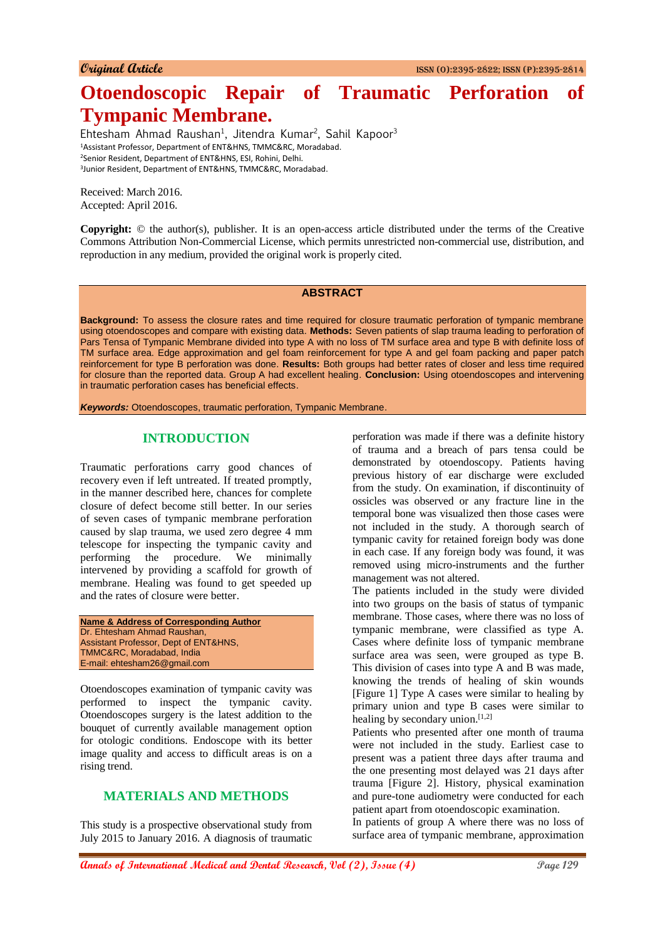# **Otoendoscopic Repair of Traumatic Perforation of Tympanic Membrane.**

Ehtesham Ahmad Raushan<sup>1</sup>, Jitendra Kumar<sup>2</sup>, Sahil Kapoor<sup>3</sup> Assistant Professor, Department of ENT&HNS, TMMC&RC, Moradabad. Senior Resident, Department of ENT&HNS, ESI, Rohini, Delhi. Junior Resident, Department of ENT&HNS, TMMC&RC, Moradabad.

Received: March 2016. Accepted: April 2016.

**Copyright:** © the author(s), publisher. It is an open-access article distributed under the terms of the Creative Commons Attribution Non-Commercial License, which permits unrestricted non-commercial use, distribution, and reproduction in any medium, provided the original work is properly cited.

#### **ABSTRACT**

**Background:** To assess the closure rates and time required for closure traumatic perforation of tympanic membrane using otoendoscopes and compare with existing data. **Methods:** Seven patients of slap trauma leading to perforation of Pars Tensa of Tympanic Membrane divided into type A with no loss of TM surface area and type B with definite loss of TM surface area. Edge approximation and gel foam reinforcement for type A and gel foam packing and paper patch reinforcement for type B perforation was done. **Results:** Both groups had better rates of closer and less time required for closure than the reported data. Group A had excellent healing. **Conclusion:** Using otoendoscopes and intervening in traumatic perforation cases has beneficial effects.

*Keywords:* Otoendoscopes, traumatic perforation, Tympanic Membrane.

#### **INTRODUCTION**

Traumatic perforations carry good chances of recovery even if left untreated. If treated promptly, in the manner described here, chances for complete closure of defect become still better. In our series of seven cases of tympanic membrane perforation caused by slap trauma, we used zero degree 4 mm telescope for inspecting the tympanic cavity and performing the procedure. We minimally intervened by providing a scaffold for growth of membrane. Healing was found to get speeded up and the rates of closure were better.

```
Name & Address of Corresponding Author
Dr. Ehtesham Ahmad Raushan,
Assistant Professor, Dept of ENT&HNS,
TMMC&RC, Moradabad, India
E-mail: ehtesham26@gmail.com
```
Otoendoscopes examination of tympanic cavity was performed to inspect the tympanic cavity. Otoendoscopes surgery is the latest addition to the bouquet of currently available management option for otologic conditions. Endoscope with its better image quality and access to difficult areas is on a rising trend.

#### **MATERIALS AND METHODS**

This study is a prospective observational study from July 2015 to January 2016. A diagnosis of traumatic perforation was made if there was a definite history of trauma and a breach of pars tensa could be demonstrated by otoendoscopy. Patients having previous history of ear discharge were excluded from the study. On examination, if discontinuity of ossicles was observed or any fracture line in the temporal bone was visualized then those cases were not included in the study. A thorough search of tympanic cavity for retained foreign body was done in each case. If any foreign body was found, it was removed using micro-instruments and the further management was not altered.

The patients included in the study were divided into two groups on the basis of status of tympanic membrane. Those cases, where there was no loss of tympanic membrane, were classified as type A. Cases where definite loss of tympanic membrane surface area was seen, were grouped as type B. This division of cases into type A and B was made, knowing the trends of healing of skin wounds [Figure 1] Type A cases were similar to healing by primary union and type B cases were similar to healing by secondary union.<sup>[1,2]</sup>

Patients who presented after one month of trauma were not included in the study. Earliest case to present was a patient three days after trauma and the one presenting most delayed was 21 days after trauma [Figure 2]. History, physical examination and pure-tone audiometry were conducted for each patient apart from otoendoscopic examination.

In patients of group A where there was no loss of surface area of tympanic membrane, approximation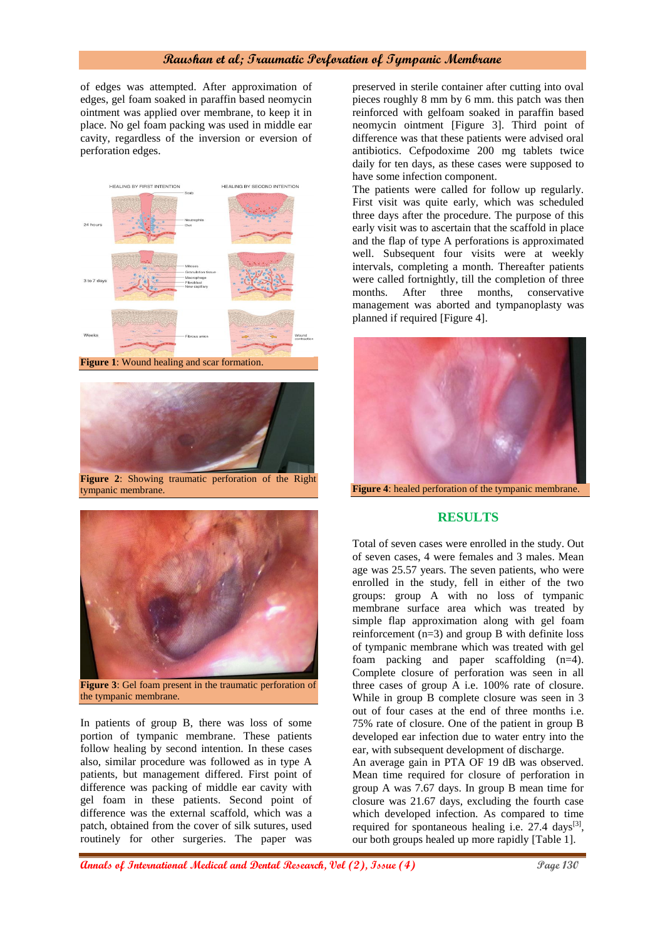## **Raushan et al; Traumatic Perforation of Tympanic Membrane**

of edges was attempted. After approximation of edges, gel foam soaked in paraffin based neomycin ointment was applied over membrane, to keep it in place. No gel foam packing was used in middle ear cavity, regardless of the inversion or eversion of perforation edges.





**Figure 2**: Showing traumatic perforation of the Right tympanic membrane.



**Figure 3**: Gel foam present in the traumatic perforation of the tympanic membrane.

In patients of group B, there was loss of some portion of tympanic membrane. These patients follow healing by second intention. In these cases also, similar procedure was followed as in type A patients, but management differed. First point of difference was packing of middle ear cavity with gel foam in these patients. Second point of difference was the external scaffold, which was a patch, obtained from the cover of silk sutures, used routinely for other surgeries. The paper was

preserved in sterile container after cutting into oval pieces roughly 8 mm by 6 mm. this patch was then reinforced with gelfoam soaked in paraffin based neomycin ointment [Figure 3]. Third point of difference was that these patients were advised oral antibiotics. Cefpodoxime 200 mg tablets twice daily for ten days, as these cases were supposed to have some infection component.

The patients were called for follow up regularly. First visit was quite early, which was scheduled three days after the procedure. The purpose of this early visit was to ascertain that the scaffold in place and the flap of type A perforations is approximated well. Subsequent four visits were at weekly intervals, completing a month. Thereafter patients were called fortnightly, till the completion of three months. After three months, conservative management was aborted and tympanoplasty was planned if required [Figure 4].



## **RESULTS**

Total of seven cases were enrolled in the study. Out of seven cases, 4 were females and 3 males. Mean age was 25.57 years. The seven patients, who were enrolled in the study, fell in either of the two groups: group A with no loss of tympanic membrane surface area which was treated by simple flap approximation along with gel foam reinforcement (n=3) and group B with definite loss of tympanic membrane which was treated with gel foam packing and paper scaffolding (n=4). Complete closure of perforation was seen in all three cases of group A i.e. 100% rate of closure. While in group B complete closure was seen in 3 out of four cases at the end of three months i.e. 75% rate of closure. One of the patient in group B developed ear infection due to water entry into the ear, with subsequent development of discharge. An average gain in PTA OF 19 dB was observed. Mean time required for closure of perforation in group A was 7.67 days. In group B mean time for closure was 21.67 days, excluding the fourth case which developed infection. As compared to time

required for spontaneous healing i.e.  $27.4 \text{ days}^{[3]}$ , our both groups healed up more rapidly [Table 1].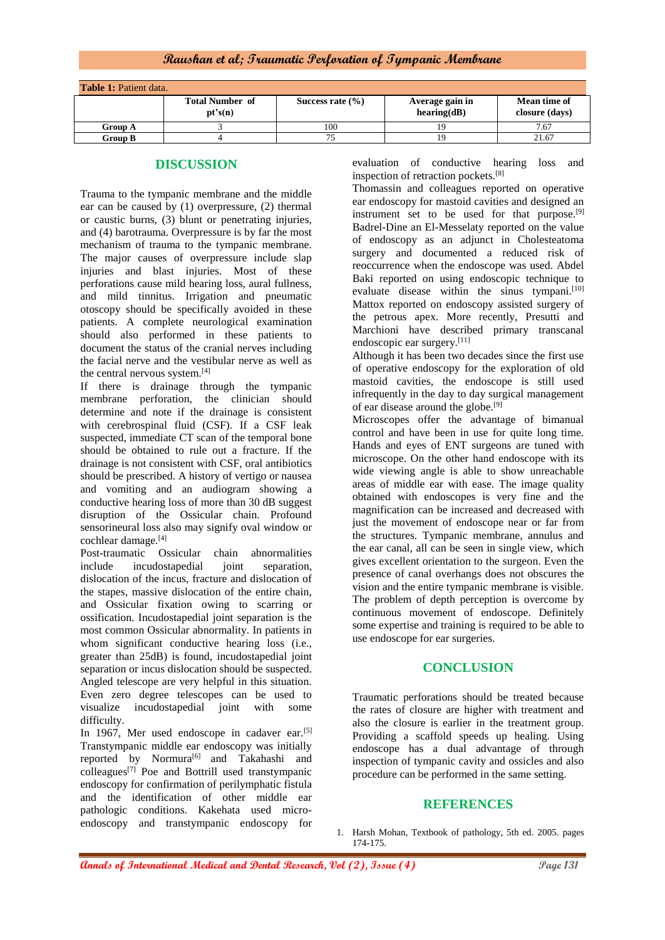**Raushan et al; Traumatic Perforation of Tympanic Membrane**

| <b>Table 1: Patient data.</b> |                                   |                      |                                |                                |
|-------------------------------|-----------------------------------|----------------------|--------------------------------|--------------------------------|
|                               | <b>Total Number of</b><br>pt's(n) | Success rate $(\% )$ | Average gain in<br>hearing(dB) | Mean time of<br>closure (days) |
| <b>Group A</b>                |                                   | 100                  |                                | 7.67                           |
| <b>Group B</b>                |                                   |                      |                                | 21.67                          |

### **DISCUSSION**

Trauma to the tympanic membrane and the middle ear can be caused by (1) overpressure, (2) thermal or caustic burns, (3) blunt or penetrating injuries, and (4) barotrauma. Overpressure is by far the most mechanism of trauma to the tympanic membrane. The major causes of overpressure include slap injuries and blast injuries. Most of these perforations cause mild hearing loss, aural fullness, and mild tinnitus. Irrigation and pneumatic otoscopy should be specifically avoided in these patients. A complete neurological examination should also performed in these patients to document the status of the cranial nerves including the facial nerve and the vestibular nerve as well as the central nervous system.[4]

If there is drainage through the tympanic membrane perforation, the clinician should determine and note if the drainage is consistent with cerebrospinal fluid (CSF). If a CSF leak suspected, immediate CT scan of the temporal bone should be obtained to rule out a fracture. If the drainage is not consistent with CSF, oral antibiotics should be prescribed. A history of vertigo or nausea and vomiting and an audiogram showing a conductive hearing loss of more than 30 dB suggest disruption of the Ossicular chain. Profound sensorineural loss also may signify oval window or cochlear damage.[4]

Post-traumatic Ossicular chain abnormalities include incudostapedial joint separation, dislocation of the incus, fracture and dislocation of the stapes, massive dislocation of the entire chain, and Ossicular fixation owing to scarring or ossification. Incudostapedial joint separation is the most common Ossicular abnormality. In patients in whom significant conductive hearing loss (i.e., greater than 25dB) is found, incudostapedial joint separation or incus dislocation should be suspected. Angled telescope are very helpful in this situation. Even zero degree telescopes can be used to visualize incudostapedial joint with some difficulty.

In 1967, Mer used endoscope in cadaver ear.<sup>[5]</sup> Transtympanic middle ear endoscopy was initially reported by Normura<sup>[6]</sup> and Takahashi and colleagues[7] Poe and Bottrill used transtympanic endoscopy for confirmation of perilymphatic fistula and the identification of other middle ear pathologic conditions. Kakehata used microendoscopy and transtympanic endoscopy for

evaluation of conductive hearing loss and inspection of retraction pockets.[8]

Thomassin and colleagues reported on operative ear endoscopy for mastoid cavities and designed an instrument set to be used for that purpose.<sup>[9]</sup> Badrel-Dine an El-Messelaty reported on the value of endoscopy as an adjunct in Cholesteatoma surgery and documented a reduced risk of reoccurrence when the endoscope was used. Abdel Baki reported on using endoscopic technique to evaluate disease within the sinus tympani.<sup>[10]</sup> Mattox reported on endoscopy assisted surgery of the petrous apex. More recently, Presutti and Marchioni have described primary transcanal endoscopic ear surgery.[11]

Although it has been two decades since the first use of operative endoscopy for the exploration of old mastoid cavities, the endoscope is still used infrequently in the day to day surgical management of ear disease around the globe.[9]

Microscopes offer the advantage of bimanual control and have been in use for quite long time. Hands and eyes of ENT surgeons are tuned with microscope. On the other hand endoscope with its wide viewing angle is able to show unreachable areas of middle ear with ease. The image quality obtained with endoscopes is very fine and the magnification can be increased and decreased with just the movement of endoscope near or far from the structures. Tympanic membrane, annulus and the ear canal, all can be seen in single view, which gives excellent orientation to the surgeon. Even the presence of canal overhangs does not obscures the vision and the entire tympanic membrane is visible. The problem of depth perception is overcome by continuous movement of endoscope. Definitely some expertise and training is required to be able to use endoscope for ear surgeries.

## **CONCLUSION**

Traumatic perforations should be treated because the rates of closure are higher with treatment and also the closure is earlier in the treatment group. Providing a scaffold speeds up healing. Using endoscope has a dual advantage of through inspection of tympanic cavity and ossicles and also procedure can be performed in the same setting.

## **REFERENCES**

1. Harsh Mohan, Textbook of pathology, 5th ed. 2005. pages 174-175.